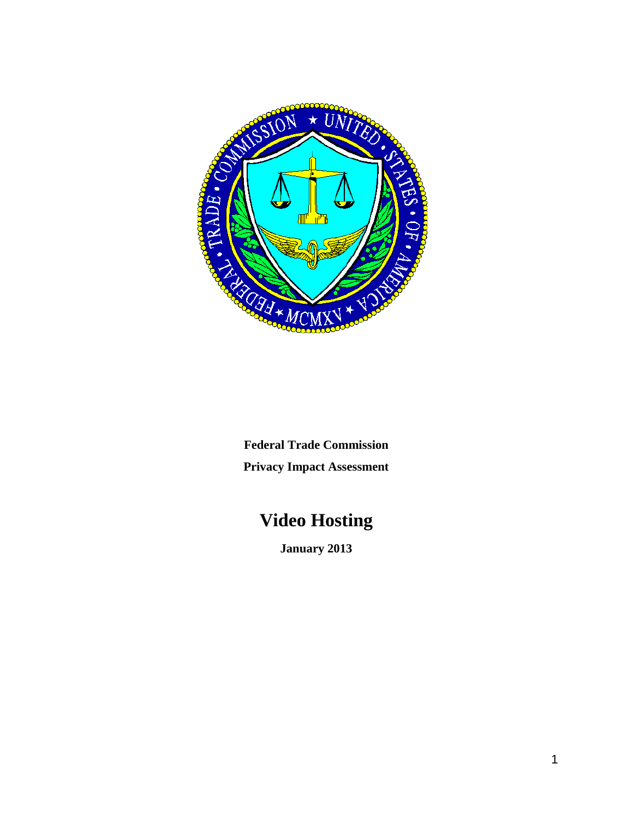

**Federal Trade Commission Privacy Impact Assessment**

# **Video Hosting**

**January 2013**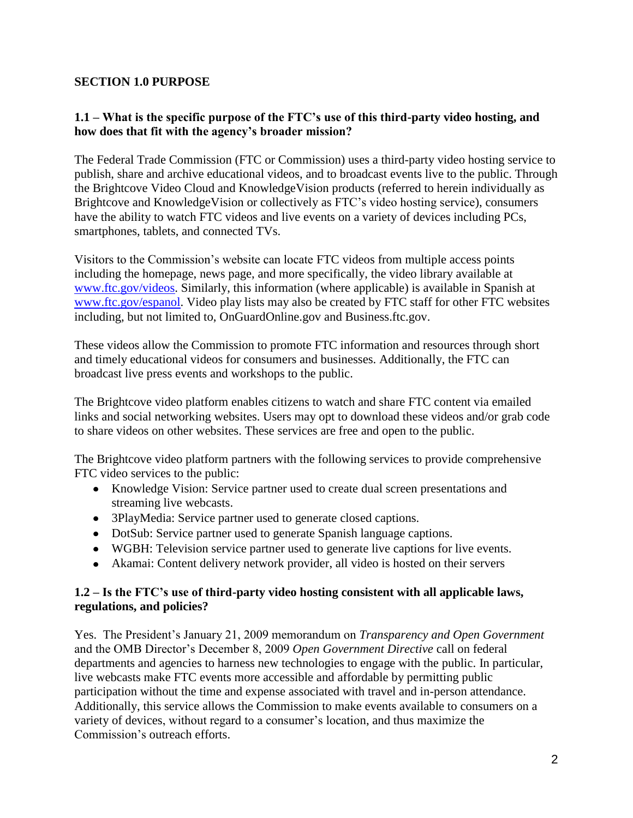#### **SECTION 1.0 PURPOSE**

#### **1.1 – What is the specific purpose of the FTC's use of this third-party video hosting, and how does that fit with the agency's broader mission?**

The Federal Trade Commission (FTC or Commission) uses a third-party video hosting service to publish, share and archive educational videos, and to broadcast events live to the public. Through the Brightcove Video Cloud and KnowledgeVision products (referred to herein individually as Brightcove and KnowledgeVision or collectively as FTC's video hosting service), consumers have the ability to watch FTC videos and live events on a variety of devices including PCs, smartphones, tablets, and connected TVs.

Visitors to the Commission's website can locate FTC videos from multiple access points including the homepage, news page, and more specifically, the video library available at [www.ftc.gov/videos.](http://www.ftc.gov/video) Similarly, this information (where applicable) is available in Spanish at [www.ftc.gov/espanol.](http://www.ftc.gov/espanol) Video play lists may also be created by FTC staff for other FTC websites including, but not limited to, OnGuardOnline.gov and Business.ftc.gov.

These videos allow the Commission to promote FTC information and resources through short and timely educational videos for consumers and businesses. Additionally, the FTC can broadcast live press events and workshops to the public.

The Brightcove video platform enables citizens to watch and share FTC content via emailed links and social networking websites. Users may opt to download these videos and/or grab code to share videos on other websites. These services are free and open to the public.

The Brightcove video platform partners with the following services to provide comprehensive FTC video services to the public:

- Knowledge Vision: Service partner used to create dual screen presentations and streaming live webcasts.
- 3PlayMedia: Service partner used to generate closed captions.
- DotSub: Service partner used to generate Spanish language captions.
- WGBH: Television service partner used to generate live captions for live events.
- Akamai: Content delivery network provider, all video is hosted on their servers

#### **1.2 – Is the FTC's use of third-party video hosting consistent with all applicable laws, regulations, and policies?**

Yes. The President's January 21, 2009 memorandum on *Transparency and Open Government* and the OMB Director's December 8, 2009 *Open Government Directive* call on federal departments and agencies to harness new technologies to engage with the public. In particular, live webcasts make FTC events more accessible and affordable by permitting public participation without the time and expense associated with travel and in-person attendance. Additionally, this service allows the Commission to make events available to consumers on a variety of devices, without regard to a consumer's location, and thus maximize the Commission's outreach efforts.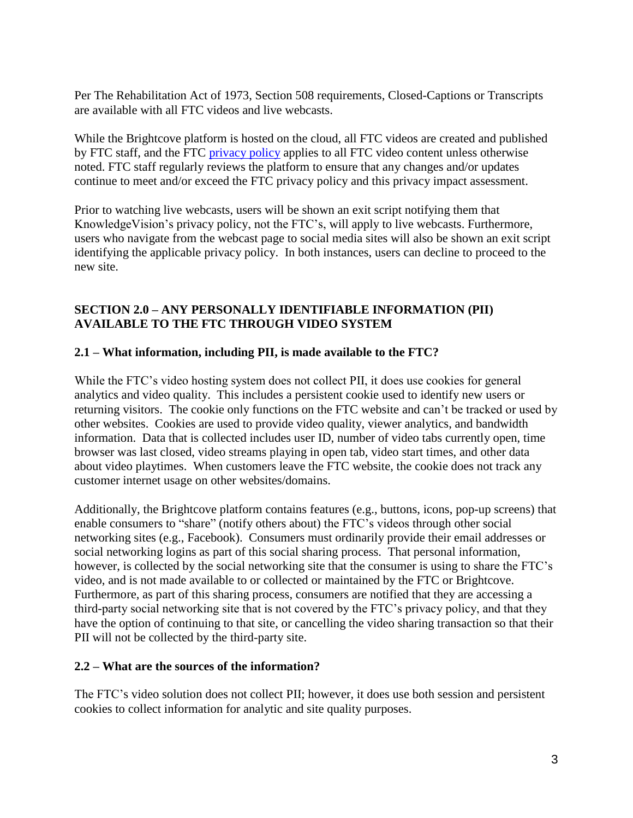Per The Rehabilitation Act of 1973, Section 508 requirements, Closed-Captions or Transcripts are available with all FTC videos and live webcasts.

While the Brightcove platform is hosted on the cloud, all FTC videos are created and published by FTC staff, and the FTC [privacy policy](http://ftc.gov/ftc/privacy.shtm) applies to all FTC video content unless otherwise noted. FTC staff regularly reviews the platform to ensure that any changes and/or updates continue to meet and/or exceed the FTC privacy policy and this privacy impact assessment.

Prior to watching live webcasts, users will be shown an exit script notifying them that KnowledgeVision's privacy policy, not the FTC's, will apply to live webcasts. Furthermore, users who navigate from the webcast page to social media sites will also be shown an exit script identifying the applicable privacy policy. In both instances, users can decline to proceed to the new site.

#### **SECTION 2.0 – ANY PERSONALLY IDENTIFIABLE INFORMATION (PII) AVAILABLE TO THE FTC THROUGH VIDEO SYSTEM**

#### **2.1 – What information, including PII, is made available to the FTC?**

While the FTC's video hosting system does not collect PII, it does use cookies for general analytics and video quality. This includes a persistent cookie used to identify new users or returning visitors. The cookie only functions on the FTC website and can't be tracked or used by other websites. Cookies are used to provide video quality, viewer analytics, and bandwidth information. Data that is collected includes user ID, number of video tabs currently open, time browser was last closed, video streams playing in open tab, video start times, and other data about video playtimes. When customers leave the FTC website, the cookie does not track any customer internet usage on other websites/domains.

Additionally, the Brightcove platform contains features (e.g., buttons, icons, pop-up screens) that enable consumers to "share" (notify others about) the FTC's videos through other social networking sites (e.g., Facebook). Consumers must ordinarily provide their email addresses or social networking logins as part of this social sharing process. That personal information, however, is collected by the social networking site that the consumer is using to share the FTC's video, and is not made available to or collected or maintained by the FTC or Brightcove. Furthermore, as part of this sharing process, consumers are notified that they are accessing a third-party social networking site that is not covered by the FTC's privacy policy, and that they have the option of continuing to that site, or cancelling the video sharing transaction so that their PII will not be collected by the third-party site.

#### **2.2 – What are the sources of the information?**

The FTC's video solution does not collect PII; however, it does use both session and persistent cookies to collect information for analytic and site quality purposes.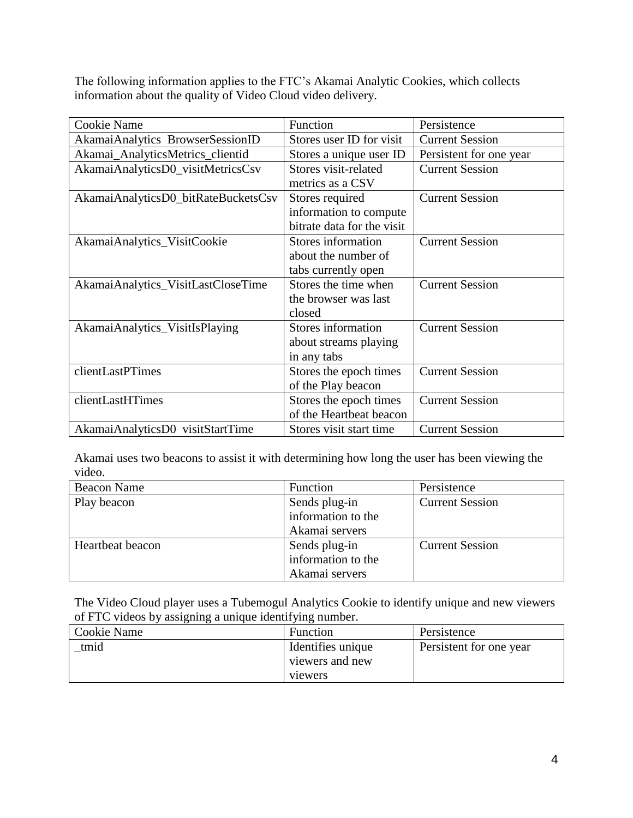The following information applies to the FTC's Akamai Analytic Cookies, which collects information about the quality of Video Cloud video delivery.

| Cookie Name                         | Function                   | Persistence             |
|-------------------------------------|----------------------------|-------------------------|
| AkamaiAnalytics BrowserSessionID    | Stores user ID for visit   | <b>Current Session</b>  |
| Akamai_AnalyticsMetrics_clientid    | Stores a unique user ID    | Persistent for one year |
| AkamaiAnalyticsD0_visitMetricsCsv   | Stores visit-related       | <b>Current Session</b>  |
|                                     | metrics as a CSV           |                         |
| AkamaiAnalyticsD0_bitRateBucketsCsv | Stores required            | <b>Current Session</b>  |
|                                     | information to compute     |                         |
|                                     | bitrate data for the visit |                         |
| AkamaiAnalytics_VisitCookie         | Stores information         | <b>Current Session</b>  |
|                                     | about the number of        |                         |
|                                     | tabs currently open        |                         |
| AkamaiAnalytics_VisitLastCloseTime  | Stores the time when       | <b>Current Session</b>  |
|                                     | the browser was last       |                         |
|                                     | closed                     |                         |
| AkamaiAnalytics_VisitIsPlaying      | Stores information         | <b>Current Session</b>  |
|                                     | about streams playing      |                         |
|                                     | in any tabs                |                         |
| clientLastPTimes                    | Stores the epoch times     | <b>Current Session</b>  |
|                                     | of the Play beacon         |                         |
| clientLastHTimes                    | Stores the epoch times     | <b>Current Session</b>  |
|                                     | of the Heartbeat beacon    |                         |
| AkamaiAnalyticsD0 visitStartTime    | Stores visit start time    | <b>Current Session</b>  |

Akamai uses two beacons to assist it with determining how long the user has been viewing the video.

| <b>Beacon Name</b> | Function           | Persistence            |
|--------------------|--------------------|------------------------|
| Play beacon        | Sends plug-in      | <b>Current Session</b> |
|                    | information to the |                        |
|                    | Akamai servers     |                        |
| Heartbeat beacon   | Sends plug-in      | <b>Current Session</b> |
|                    | information to the |                        |
|                    | Akamai servers     |                        |

The Video Cloud player uses a Tubemogul Analytics Cookie to identify unique and new viewers of FTC videos by assigning a unique identifying number.

| Cookie Name | <b>Function</b>   | Persistence             |
|-------------|-------------------|-------------------------|
| tmid        | Identifies unique | Persistent for one year |
|             | viewers and new   |                         |
|             | viewers           |                         |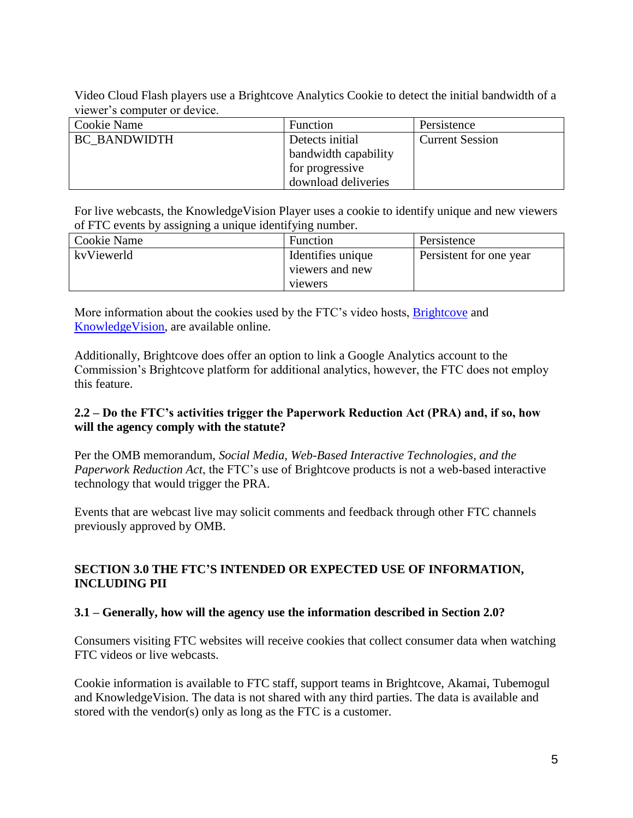Video Cloud Flash players use a Brightcove Analytics Cookie to detect the initial bandwidth of a viewer's computer or device.

| Cookie Name         | Function             | Persistence            |
|---------------------|----------------------|------------------------|
| <b>BC BANDWIDTH</b> | Detects initial      | <b>Current Session</b> |
|                     | bandwidth capability |                        |
|                     | for progressive      |                        |
|                     | download deliveries  |                        |

For live webcasts, the KnowledgeVision Player uses a cookie to identify unique and new viewers of FTC events by assigning a unique identifying number.

| Cookie Name | <b>Function</b>   | Persistence             |
|-------------|-------------------|-------------------------|
| kvViewerld  | Identifies unique | Persistent for one year |
|             | viewers and new   |                         |
|             | viewers           |                         |

More information about the cookies used by the FTC's video hosts, [Brightcove](http://support.brightcove.com/en/docs/video-cloud-player-cookies) and [KnowledgeVision,](http://www.knowledgevision.com/privacy-policy) are available online.

Additionally, Brightcove does offer an option to link a Google Analytics account to the Commission's Brightcove platform for additional analytics, however, the FTC does not employ this feature.

#### **2.2 – Do the FTC's activities trigger the Paperwork Reduction Act (PRA) and, if so, how will the agency comply with the statute?**

Per the OMB memorandum, *Social Media, Web-Based Interactive Technologies, and the Paperwork Reduction Act*, the FTC's use of Brightcove products is not a web-based interactive technology that would trigger the PRA.

Events that are webcast live may solicit comments and feedback through other FTC channels previously approved by OMB.

#### **SECTION 3.0 THE FTC'S INTENDED OR EXPECTED USE OF INFORMATION, INCLUDING PII**

#### **3.1 – Generally, how will the agency use the information described in Section 2.0?**

Consumers visiting FTC websites will receive cookies that collect consumer data when watching FTC videos or live webcasts.

Cookie information is available to FTC staff, support teams in Brightcove, Akamai, Tubemogul and KnowledgeVision. The data is not shared with any third parties. The data is available and stored with the vendor(s) only as long as the FTC is a customer.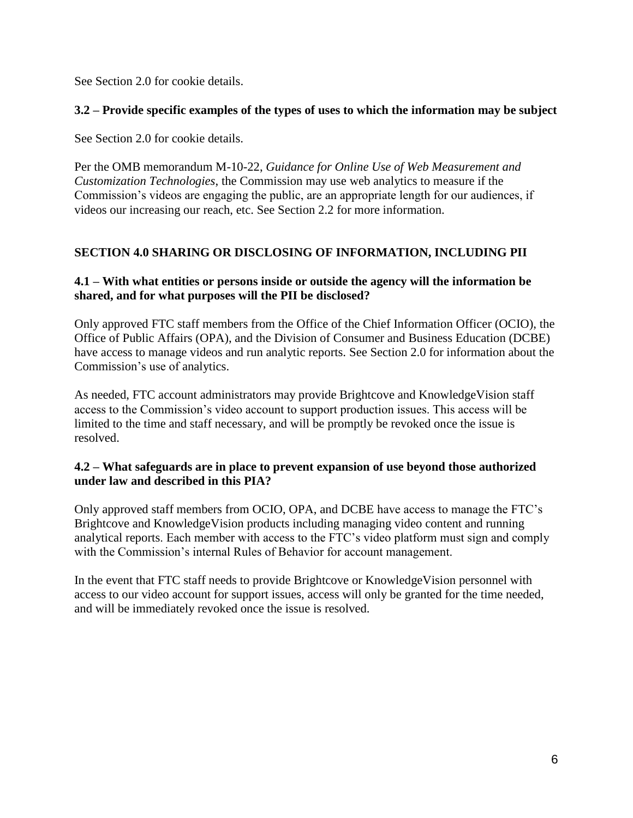See Section 2.0 for cookie details.

#### **3.2 – Provide specific examples of the types of uses to which the information may be subject**

See Section 2.0 for cookie details.

Per the OMB memorandum M-10-22, *Guidance for Online Use of Web Measurement and Customization Technologies*, the Commission may use web analytics to measure if the Commission's videos are engaging the public, are an appropriate length for our audiences, if videos our increasing our reach, etc. See Section 2.2 for more information.

### **SECTION 4.0 SHARING OR DISCLOSING OF INFORMATION, INCLUDING PII**

#### **4.1 – With what entities or persons inside or outside the agency will the information be shared, and for what purposes will the PII be disclosed?**

Only approved FTC staff members from the Office of the Chief Information Officer (OCIO), the Office of Public Affairs (OPA), and the Division of Consumer and Business Education (DCBE) have access to manage videos and run analytic reports. See Section 2.0 for information about the Commission's use of analytics.

As needed, FTC account administrators may provide Brightcove and KnowledgeVision staff access to the Commission's video account to support production issues. This access will be limited to the time and staff necessary, and will be promptly be revoked once the issue is resolved.

#### **4.2 – What safeguards are in place to prevent expansion of use beyond those authorized under law and described in this PIA?**

Only approved staff members from OCIO, OPA, and DCBE have access to manage the FTC's Brightcove and KnowledgeVision products including managing video content and running analytical reports. Each member with access to the FTC's video platform must sign and comply with the Commission's internal Rules of Behavior for account management.

In the event that FTC staff needs to provide Brightcove or KnowledgeVision personnel with access to our video account for support issues, access will only be granted for the time needed, and will be immediately revoked once the issue is resolved.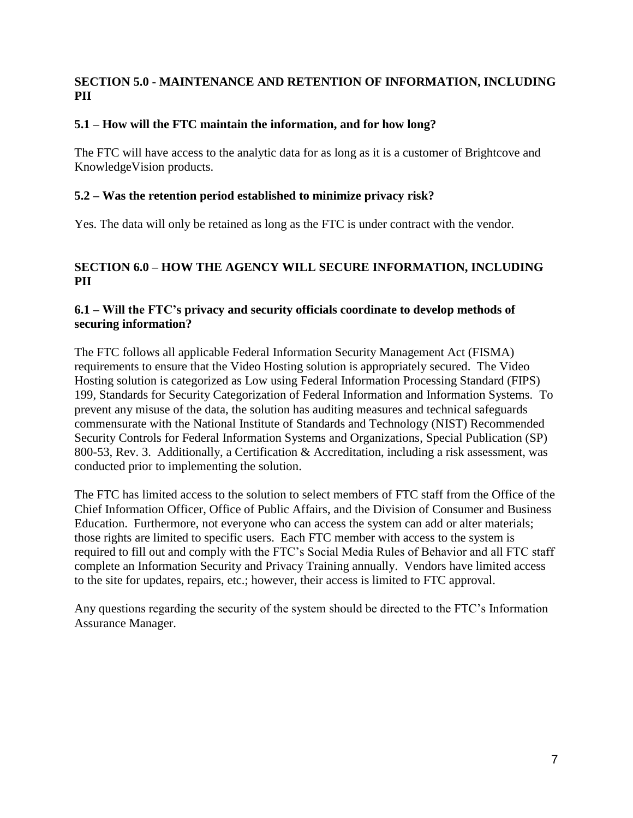#### **SECTION 5.0 - MAINTENANCE AND RETENTION OF INFORMATION, INCLUDING PII**

#### **5.1 – How will the FTC maintain the information, and for how long?**

The FTC will have access to the analytic data for as long as it is a customer of Brightcove and KnowledgeVision products.

#### **5.2 – Was the retention period established to minimize privacy risk?**

Yes. The data will only be retained as long as the FTC is under contract with the vendor.

#### **SECTION 6.0 – HOW THE AGENCY WILL SECURE INFORMATION, INCLUDING PII**

#### **6.1 – Will the FTC's privacy and security officials coordinate to develop methods of securing information?**

The FTC follows all applicable Federal Information Security Management Act (FISMA) requirements to ensure that the Video Hosting solution is appropriately secured. The Video Hosting solution is categorized as Low using Federal Information Processing Standard (FIPS) 199, Standards for Security Categorization of Federal Information and Information Systems. To prevent any misuse of the data, the solution has auditing measures and technical safeguards commensurate with the National Institute of Standards and Technology (NIST) Recommended Security Controls for Federal Information Systems and Organizations, Special Publication (SP) 800-53, Rev. 3. Additionally, a Certification & Accreditation, including a risk assessment, was conducted prior to implementing the solution.

The FTC has limited access to the solution to select members of FTC staff from the Office of the Chief Information Officer, Office of Public Affairs, and the Division of Consumer and Business Education. Furthermore, not everyone who can access the system can add or alter materials; those rights are limited to specific users. Each FTC member with access to the system is required to fill out and comply with the FTC's Social Media Rules of Behavior and all FTC staff complete an Information Security and Privacy Training annually. Vendors have limited access to the site for updates, repairs, etc.; however, their access is limited to FTC approval.

Any questions regarding the security of the system should be directed to the FTC's Information Assurance Manager.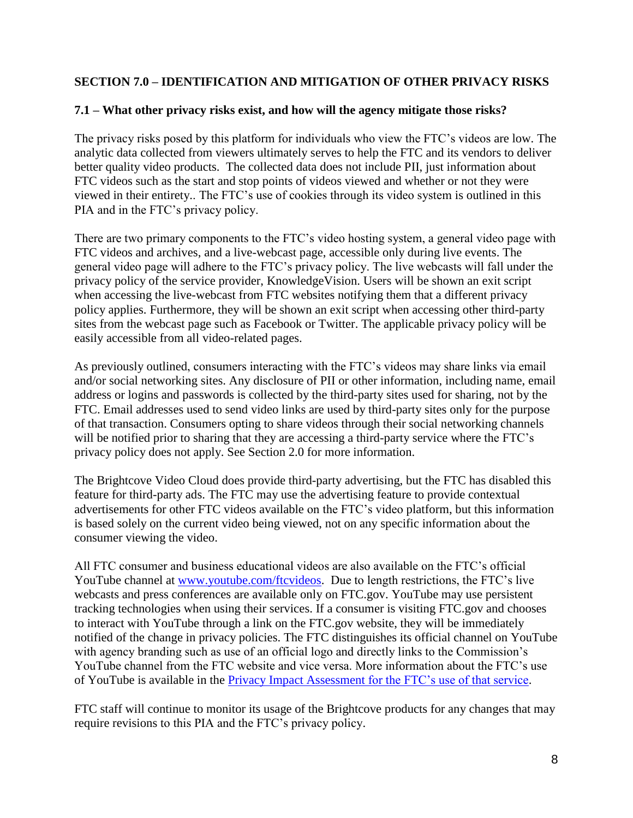#### **SECTION 7.0 – IDENTIFICATION AND MITIGATION OF OTHER PRIVACY RISKS**

#### **7.1 – What other privacy risks exist, and how will the agency mitigate those risks?**

The privacy risks posed by this platform for individuals who view the FTC's videos are low. The analytic data collected from viewers ultimately serves to help the FTC and its vendors to deliver better quality video products. The collected data does not include PII, just information about FTC videos such as the start and stop points of videos viewed and whether or not they were viewed in their entirety.. The FTC's use of cookies through its video system is outlined in this PIA and in the FTC's privacy policy.

There are two primary components to the FTC's video hosting system, a general video page with FTC videos and archives, and a live-webcast page, accessible only during live events. The general video page will adhere to the FTC's privacy policy. The live webcasts will fall under the privacy policy of the service provider, KnowledgeVision. Users will be shown an exit script when accessing the live-webcast from FTC websites notifying them that a different privacy policy applies. Furthermore, they will be shown an exit script when accessing other third-party sites from the webcast page such as Facebook or Twitter. The applicable privacy policy will be easily accessible from all video-related pages.

As previously outlined, consumers interacting with the FTC's videos may share links via email and/or social networking sites. Any disclosure of PII or other information, including name, email address or logins and passwords is collected by the third-party sites used for sharing, not by the FTC. Email addresses used to send video links are used by third-party sites only for the purpose of that transaction. Consumers opting to share videos through their social networking channels will be notified prior to sharing that they are accessing a third-party service where the FTC's privacy policy does not apply. See Section 2.0 for more information.

The Brightcove Video Cloud does provide third-party advertising, but the FTC has disabled this feature for third-party ads. The FTC may use the advertising feature to provide contextual advertisements for other FTC videos available on the FTC's video platform, but this information is based solely on the current video being viewed, not on any specific information about the consumer viewing the video.

All FTC consumer and business educational videos are also available on the FTC's official YouTube channel at [www.youtube.com/ftcvideos.](http://www.youtube.com/ftcvideos) Due to length restrictions, the FTC's live webcasts and press conferences are available only on FTC.gov. YouTube may use persistent tracking technologies when using their services. If a consumer is visiting FTC.gov and chooses to interact with YouTube through a link on the FTC.gov website, they will be immediately notified of the change in privacy policies. The FTC distinguishes its official channel on YouTube with agency branding such as use of an official logo and directly links to the Commission's YouTube channel from the FTC website and vice versa. More information about the FTC's use of YouTube is available in the [Privacy Impact Assessment](http://ftc.gov/ftc/privacyimpactassessment.shtm) for the FTC's use of that service.

FTC staff will continue to monitor its usage of the Brightcove products for any changes that may require revisions to this PIA and the FTC's privacy policy.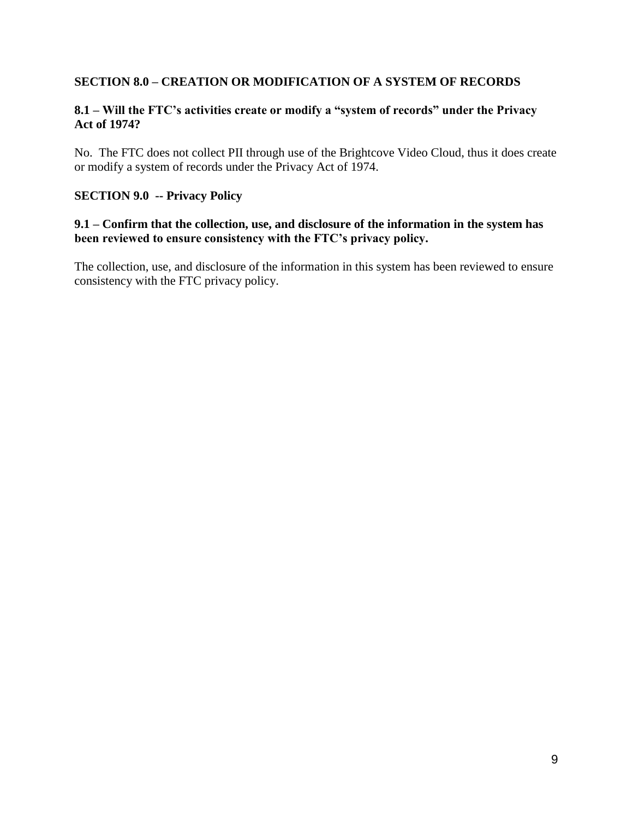#### **SECTION 8.0 – CREATION OR MODIFICATION OF A SYSTEM OF RECORDS**

#### **8.1 – Will the FTC's activities create or modify a "system of records" under the Privacy Act of 1974?**

No. The FTC does not collect PII through use of the Brightcove Video Cloud, thus it does create or modify a system of records under the Privacy Act of 1974.

#### **SECTION 9.0 -- Privacy Policy**

#### **9.1 – Confirm that the collection, use, and disclosure of the information in the system has been reviewed to ensure consistency with the FTC's privacy policy.**

The collection, use, and disclosure of the information in this system has been reviewed to ensure consistency with the FTC privacy policy.